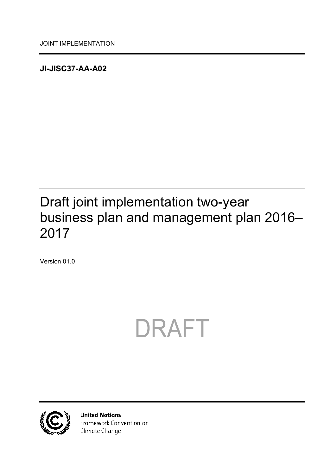<span id="page-0-0"></span>**JI-JISC37-AA-A02**

## <span id="page-0-1"></span>Draft joint implementation two-year business plan and management plan 2016– 2017

<span id="page-0-2"></span>Version 01.0

# DRAFT



**United Nations** Framework Convention on Climate Change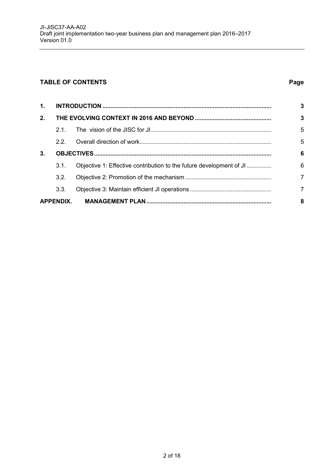#### **TABLE OF CONTENTS Page**

| $\mathbf{1}$ . |                  |                                                                     |                |
|----------------|------------------|---------------------------------------------------------------------|----------------|
| 2.             |                  |                                                                     |                |
|                | 21               |                                                                     | 5              |
|                | 22               |                                                                     | 5              |
| 3.             |                  |                                                                     | 6              |
|                | 3.1.             | Objective 1: Effective contribution to the future development of JI | 6              |
|                | 3.2.             |                                                                     | $\overline{7}$ |
|                | 3.3.             |                                                                     | $\overline{7}$ |
|                | <b>APPENDIX.</b> |                                                                     | 8              |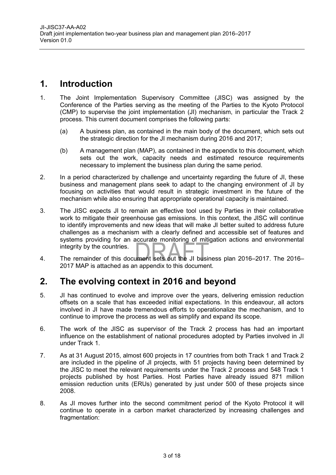#### <span id="page-2-0"></span>**1. Introduction**

- 1. The Joint Implementation Supervisory Committee (JISC) was assigned by the Conference of the Parties serving as the meeting of the Parties to the Kyoto Protocol (CMP) to supervise the joint implementation (JI) mechanism, in particular the Track 2 process. This current document comprises the following parts:
	- (a) A business plan, as contained in the main body of the document, which sets out the strategic direction for the JI mechanism during 2016 and 2017;
	- (b) A management plan (MAP), as contained in the appendix to this document, which sets out the work, capacity needs and estimated resource requirements necessary to implement the business plan during the same period.
- 2. In a period characterized by challenge and uncertainty regarding the future of JI, these business and management plans seek to adapt to the changing environment of JI by focusing on activities that would result in strategic investment in the future of the mechanism while also ensuring that appropriate operational capacity is maintained.
- 3. The JISC expects JI to remain an effective tool used by Parties in their collaborative work to mitigate their greenhouse gas emissions. In this context, the JISC will continue to identify improvements and new ideas that will make JI better suited to address future challenges as a mechanism with a clearly defined and accessible set of features and systems providing for an accurate monitoring of mitigation actions and environmental integrity by the countries.
- 4. The remainder of this document sets out the JI business plan 2016–2017. The 2016– 2017 MAP is attached as an appendix to this document.

#### <span id="page-2-1"></span>**2. The evolving context in 2016 and beyond**

- 5. JI has continued to evolve and improve over the years, delivering emission reduction offsets on a scale that has exceeded initial expectations. In this endeavour, all actors involved in JI have made tremendous efforts to operationalize the mechanism, and to continue to improve the process as well as simplify and expand its scope.
- 6. The work of the JISC as supervisor of the Track 2 process has had an important influence on the establishment of national procedures adopted by Parties involved in JI under Track 1.
- 7. As at 31 August 2015, almost 600 projects in 17 countries from both Track 1 and Track 2 are included in the pipeline of JI projects, with 51 projects having been determined by the JISC to meet the relevant requirements under the Track 2 process and 548 Track 1 projects published by host Parties. Host Parties have already issued 871 million emission reduction units (ERUs) generated by just under 500 of these projects since 2008.
- 8. As JI moves further into the second commitment period of the Kyoto Protocol it will continue to operate in a carbon market characterized by increasing challenges and fragmentation: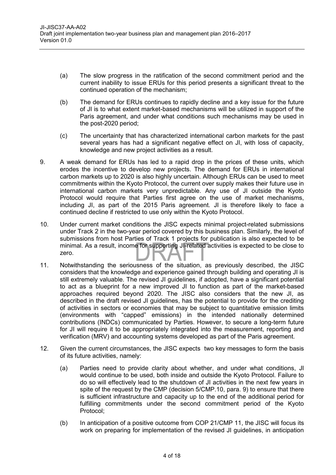- (a) The slow progress in the ratification of the second commitment period and the current inability to issue ERUs for this period presents a significant threat to the continued operation of the mechanism;
- (b) The demand for ERUs continues to rapidly decline and a key issue for the future of JI is to what extent market-based mechanisms will be utilized in support of the Paris agreement, and under what conditions such mechanisms may be used in the post-2020 period;
- (c) The uncertainty that has characterized international carbon markets for the past several years has had a significant negative effect on JI, with loss of capacity, knowledge and new project activities as a result.
- 9. A weak demand for ERUs has led to a rapid drop in the prices of these units, which erodes the incentive to develop new projects. The demand for ERUs in international carbon markets up to 2020 is also highly uncertain. Although ERUs can be used to meet commitments within the Kyoto Protocol, the current over supply makes their future use in international carbon markets very unpredictable. Any use of JI outside the Kyoto Protocol would require that Parties first agree on the use of market mechanisms, including JI, as part of the 2015 Paris agreement. JI is therefore likely to face a continued decline if restricted to use only within the Kyoto Protocol.
- 10. Under current market conditions the JISC expects minimal project-related submissions under Track 2 in the two-year period covered by this business plan. Similarly, the level of submissions from host Parties of Track 1 projects for publication is also expected to be minimal. As a result, income for supporting JI-related activities is expected to be close to zero.
- 11. Notwithstanding the seriousness of the situation, as previously described, the JISC considers that the knowledge and experience gained through building and operating JI is still extremely valuable. The revised JI guidelines, if adopted, have a significant potential to act as a blueprint for a new improved JI to function as part of the market-based approaches required beyond 2020. The JISC also considers that the new JI, as described in the draft revised JI guidelines, has the potential to provide for the crediting of activities in sectors or economies that may be subject to quantitative emission limits (environments with "capped" emissions) in the intended nationally determined contributions (INDCs) communicated by Parties. However, to secure a long-term future for JI will require it to be appropriately integrated into the measurement, reporting and verification (MRV) and accounting systems developed as part of the Paris agreement.
- 12. Given the current circumstances, the JISC expects two key messages to form the basis of its future activities, namely:
	- (a) Parties need to provide clarity about whether, and under what conditions, JI would continue to be used, both inside and outside the Kyoto Protocol. Failure to do so will effectively lead to the shutdown of JI activities in the next few years in spite of the request by the CMP (decision 5/CMP.10, para. 9) to ensure that there is sufficient infrastructure and capacity up to the end of the additional period for fulfilling commitments under the second commitment period of the Kyoto Protocol;
	- (b) In anticipation of a positive outcome from COP 21/CMP 11, the JISC will focus its work on preparing for implementation of the revised JI guidelines, in anticipation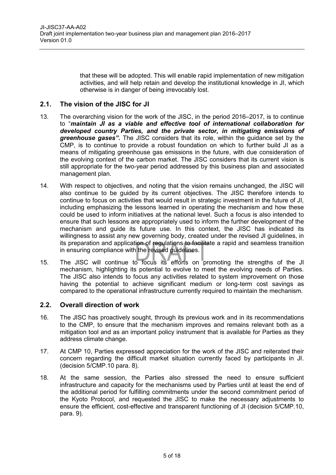that these will be adopted. This will enable rapid implementation of new mitigation activities, and will help retain and develop the institutional knowledge in JI, which otherwise is in danger of being irrevocably lost.

#### <span id="page-4-0"></span>**2.1. The vision of the JISC for JI**

- 13. The overarching vision for the work of the JISC, in the period 2016–2017, is to continue to "*maintain JI as a viable and effective tool of international collaboration for developed country Parties, and the private sector, in mitigating emissions of greenhouse gases".* The JISC considers that its role, within the guidance set by the CMP, is to continue to provide a robust foundation on which to further build JI as a means of mitigating greenhouse gas emissions in the future, with due consideration of the evolving context of the carbon market. The JISC considers that its current vision is still appropriate for the two-year period addressed by this business plan and associated management plan.
- 14. With respect to objectives, and noting that the vision remains unchanged, the JISC will also continue to be guided by its current objectives. The JISC therefore intends to continue to focus on activities that would result in strategic investment in the future of JI, including emphasizing the lessons learned in operating the mechanism and how these could be used to inform initiatives at the national level. Such a focus is also intended to ensure that such lessons are appropriately used to inform the further development of the mechanism and guide its future use. In this context, the JISC has indicated its willingness to assist any new governing body, created under the revised JI guidelines, in its preparation and application of regulations to facilitate a rapid and seamless transition in ensuring compliance with the revised guidelines.
- 15. The JISC will continue to focus its efforts on promoting the strengths of the JI mechanism, highlighting its potential to evolve to meet the evolving needs of Parties. The JISC also intends to focus any activities related to system improvement on those having the potential to achieve significant medium or long-term cost savings as compared to the operational infrastructure currently required to maintain the mechanism.

#### <span id="page-4-1"></span>**2.2. Overall direction of work**

- 16. The JISC has proactively sought, through its previous work and in its recommendations to the CMP, to ensure that the mechanism improves and remains relevant both as a mitigation tool and as an important policy instrument that is available for Parties as they address climate change.
- 17. At CMP 10, Parties expressed appreciation for the work of the JISC and reiterated their concern regarding the difficult market situation currently faced by participants in JI. (decision 5/CMP.10 para. 8).
- 18. At the same session, the Parties also stressed the need to ensure sufficient infrastructure and capacity for the mechanisms used by Parties until at least the end of the additional period for fulfilling commitments under the second commitment period of the Kyoto Protocol, and requested the JISC to make the necessary adjustments to ensure the efficient, cost-effective and transparent functioning of JI (decision 5/CMP.10, para. 9).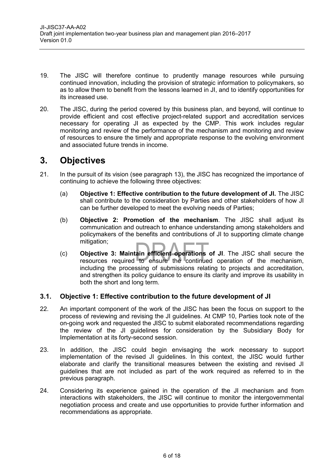- 19. The JISC will therefore continue to prudently manage resources while pursuing continued innovation, including the provision of strategic information to policymakers, so as to allow them to benefit from the lessons learned in JI, and to identify opportunities for its increased use.
- 20. The JISC, during the period covered by this business plan, and beyond, will continue to provide efficient and cost effective project-related support and accreditation services necessary for operating JI as expected by the CMP. This work includes regular monitoring and review of the performance of the mechanism and monitoring and review of resources to ensure the timely and appropriate response to the evolving environment and associated future trends in income.

#### <span id="page-5-0"></span>**3. Objectives**

- 21. In the pursuit of its vision (see paragraph 13), the JISC has recognized the importance of continuing to achieve the following three objectives:
	- (a) **Objective 1: Effective contribution to the future development of JI.** The JISC shall contribute to the consideration by Parties and other stakeholders of how JI can be further developed to meet the evolving needs of Parties;
	- (b) **Objective 2: Promotion of the mechanism**. The JISC shall adjust its communication and outreach to enhance understanding among stakeholders and policymakers of the benefits and contributions of JI to supporting climate change mitigation;
	- (c) **Objective 3: Maintain efficient operations of JI**. The JISC shall secure the resources required to ensure the continued operation of the mechanism, including the processing of submissions relating to projects and accreditation, and strengthen its policy guidance to ensure its clarity and improve its usability in both the short and long term.

#### <span id="page-5-1"></span>**3.1. Objective 1: Effective contribution to the future development of JI**

- 22. An important component of the work of the JISC has been the focus on support to the process of reviewing and revising the JI guidelines. At CMP 10, Parties took note of the on-going work and requested the JISC to submit elaborated recommendations regarding the review of the JI guidelines for consideration by the Subsidiary Body for Implementation at its forty-second session.
- 23. In addition, the JISC could begin envisaging the work necessary to support implementation of the revised JI guidelines. In this context, the JISC would further elaborate and clarify the transitional measures between the existing and revised JI guidelines that are not included as part of the work required as referred to in the previous paragraph.
- 24. Considering its experience gained in the operation of the JI mechanism and from interactions with stakeholders, the JISC will continue to monitor the intergovernmental negotiation process and create and use opportunities to provide further information and recommendations as appropriate.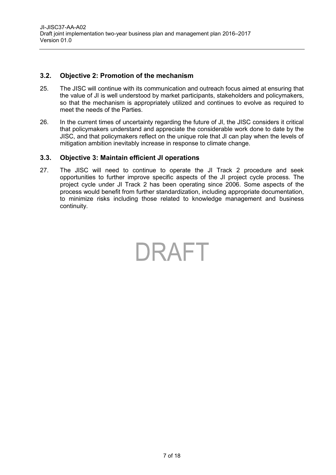#### <span id="page-6-0"></span>**3.2. Objective 2: Promotion of the mechanism**

- 25. The JISC will continue with its communication and outreach focus aimed at ensuring that the value of JI is well understood by market participants, stakeholders and policymakers, so that the mechanism is appropriately utilized and continues to evolve as required to meet the needs of the Parties.
- 26. In the current times of uncertainty regarding the future of JI, the JISC considers it critical that policymakers understand and appreciate the considerable work done to date by the JISC, and that policymakers reflect on the unique role that JI can play when the levels of mitigation ambition inevitably increase in response to climate change.

#### <span id="page-6-1"></span>**3.3. Objective 3: Maintain efficient JI operations**

27. The JISC will need to continue to operate the JI Track 2 procedure and seek opportunities to further improve specific aspects of the JI project cycle process. The project cycle under JI Track 2 has been operating since 2006. Some aspects of the process would benefit from further standardization, including appropriate documentation, to minimize risks including those related to knowledge management and business continuity.

DRAFT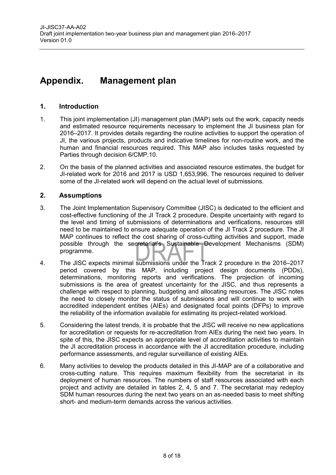### <span id="page-7-0"></span>**Appendix. Management plan**

#### **1. Introduction**

- 1. This joint implementation (JI) management plan (MAP) sets out the work, capacity needs and estimated resource requirements necessary to implement the JI business plan for 2016–2017. It provides details regarding the routine activities to support the operation of JI, the various projects, products and indicative timelines for non-routine work, and the human and financial resources required. This MAP also includes tasks requested by Parties through decision 6/CMP.10.
- 2. On the basis of the planned activities and associated resource estimates, the budget for JI-related work for 2016 and 2017 is USD 1,653,996. The resources required to deliver some of the JI-related work will depend on the actual level of submissions.

#### **2. Assumptions**

- 3. The Joint Implementation Supervisory Committee (JISC) is dedicated to the efficient and cost-effective functioning of the JI Track 2 procedure. Despite uncertainty with regard to the level and timing of submissions of determinations and verifications, resources still need to be maintained to ensure adequate operation of the JI Track 2 procedure. The JI MAP continues to reflect the cost sharing of cross-cutting activities and support, made possible through the secretariat's Sustainable Development Mechanisms (SDM) programme.
- 4. The JISC expects minimal submissions under the Track 2 procedure in the 2016–2017 period covered by this MAP, including project design documents (PDDs), determinations, monitoring reports and verifications. The projection of incoming submissions is the area of greatest uncertainty for the JISC, and thus represents a challenge with respect to planning, budgeting and allocating resources. The JISC notes the need to closely monitor the status of submissions and will continue to work with accredited independent entities (AIEs) and designated focal points (DFPs) to improve the reliability of the information available for estimating its project-related workload.
- 5. Considering the latest trends, it is probable that the JISC will receive no new applications for accreditation or requests for re-accreditation from AIEs during the next two years. In spite of this, the JISC expects an appropriate level of accreditation activities to maintain the JI accreditation process in accordance with the JI accreditation procedure, including performance assessments, and regular surveillance of existing AIEs.
- 6. Many activities to develop the products detailed in this JI-MAP are of a collaborative and cross-cutting nature. This requires maximum flexibility from the secretariat in its deployment of human resources. The numbers of staff resources associated with each project and activity are detailed in tables 2, 4, 5 and 7. The secretariat may redeploy SDM human resources during the next two years on an as-needed basis to meet shifting short- and medium-term demands across the various activities.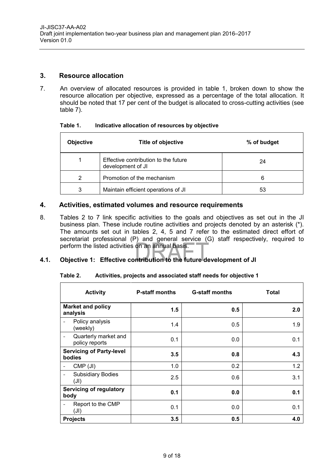#### **3. Resource allocation**

7. An overview of allocated resources is provided in table 1, broken down to show the resource allocation per objective, expressed as a percentage of the total allocation. It should be noted that 17 per cent of the budget is allocated to cross-cutting activities (see table 7).

| Table 1. | Indicative allocation of resources by objective |
|----------|-------------------------------------------------|
|----------|-------------------------------------------------|

| <b>Objective</b> | Title of objective                                        | % of budget |
|------------------|-----------------------------------------------------------|-------------|
|                  | Effective contribution to the future<br>development of JI | 24          |
| 2                | Promotion of the mechanism                                | 6           |
| 3                | Maintain efficient operations of JI                       | 53          |

#### **4. Activities, estimated volumes and resource requirements**

8. Tables 2 to 7 link specific activities to the goals and objectives as set out in the JI business plan. These include routine activities and projects denoted by an asterisk (\*). The amounts set out in tables 2, 4, 5 and 7 refer to the estimated direct effort of secretariat professional (P) and general service (G) staff respectively, required to perform the listed activities on an annual basis.

#### **4.1. Objective 1: Effective contribution to the future development of JI**

#### **Table 2. Activities, projects and associated staff needs for objective 1**

| <b>Activity</b>                                              | <b>P-staff months</b> | <b>G-staff months</b> | Total |
|--------------------------------------------------------------|-----------------------|-----------------------|-------|
| <b>Market and policy</b><br>analysis                         | 1.5                   | 0.5                   | 2.0   |
| Policy analysis<br>(weekly)                                  | 1.4                   | 0.5                   | 1.9   |
| Quarterly market and<br>policy reports                       | 0.1                   | 0.0                   | 0.1   |
| <b>Servicing of Party-level</b><br>bodies                    | $3.5^{\circ}$         | 0.8                   | 4.3   |
| $CMP$ (JI)<br>$\overline{\phantom{a}}$                       | 1.0                   | 0.2                   | 1.2   |
| <b>Subsidiary Bodies</b><br>$\overline{\phantom{a}}$<br>(JI) | 2.5                   | 0.6                   | 3.1   |
| <b>Servicing of regulatory</b><br>body                       | 0.1                   | 0.0                   | 0.1   |
| Report to the CMP<br>$\overline{\phantom{a}}$<br>(JI)        | 0.1                   | 0.0                   | 0.1   |
| <b>Projects</b>                                              | 3.5                   | 0.5                   | 4.0   |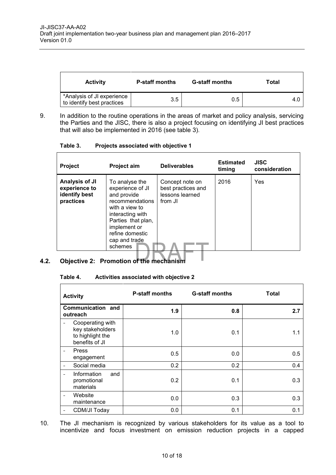| <b>Activity</b>                                          | <b>P-staff months</b> | <b>G-staff months</b> | Total |
|----------------------------------------------------------|-----------------------|-----------------------|-------|
| *Analysis of JI experience<br>to identify best practices | 3.5                   | 0.5                   | 4.0   |

 $\overline{\phantom{0}}$ 

9. In addition to the routine operations in the areas of market and policy analysis, servicing the Parties and the JISC, there is also a project focusing on identifying JI best practices that will also be implemented in 2016 (see table 3).

**Table 3. Projects associated with objective 1**

 $\mathsf{r}$ 

| <b>Project</b>                                                | <b>Project aim</b>                                                                                                                                                                              | <b>Deliverables</b>                                                 | <b>Estimated</b><br>timing | <b>JISC</b><br>consideration |
|---------------------------------------------------------------|-------------------------------------------------------------------------------------------------------------------------------------------------------------------------------------------------|---------------------------------------------------------------------|----------------------------|------------------------------|
| Analysis of JI<br>experience to<br>identify best<br>practices | To analyse the<br>experience of JI<br>and provide<br>recommendations<br>with a view to<br>interacting with<br>Parties that plan,<br>implement or<br>refine domestic<br>cap and trade<br>schemes | Concept note on<br>best practices and<br>lessons learned<br>from JI | 2016                       | Yes                          |
| $\bigcap_{n=1}^{n}$                                           |                                                                                                                                                                                                 |                                                                     |                            |                              |

#### **4.2. Objective 2: Promotion of the mechanism**

#### **Table 4. Activities associated with objective 2**

| <b>Activity</b>                                                            | <b>P-staff months</b> | <b>G-staff months</b> | Total |
|----------------------------------------------------------------------------|-----------------------|-----------------------|-------|
| Communication and<br>outreach                                              | 1.9                   | 0.8                   | 2.7   |
| Cooperating with<br>key stakeholders<br>to highlight the<br>benefits of JI | 1.0                   | 0.1                   | 1.1   |
| Press<br>engagement                                                        | 0.5                   | 0.0                   | 0.5   |
| Social media<br>$\overline{\phantom{a}}$                                   | 0.2                   | 0.2                   | 0.4   |
| Information<br>and<br>promotional<br>materials                             | 0.2                   | 0.1                   | 0.3   |
| Website<br>$\qquad \qquad -$<br>maintenance                                | 0.0                   | 0.3                   | 0.3   |
| CDM/JI Today                                                               | 0.0                   | 0.1                   | 0.1   |

10. The JI mechanism is recognized by various stakeholders for its value as a tool to incentivize and focus investment on emission reduction projects in a capped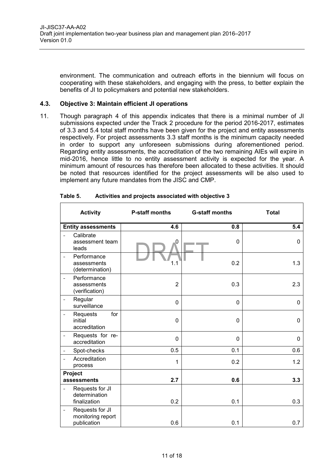environment. The communication and outreach efforts in the biennium will focus on cooperating with these stakeholders, and engaging with the press, to better explain the benefits of JI to policymakers and potential new stakeholders.

#### **4.3. Objective 3: Maintain efficient JI operations**

 $\Gamma$ 

11. Though paragraph 4 of this appendix indicates that there is a minimal number of JI submissions expected under the Track 2 procedure for the period 2016-2017, estimates of 3.3 and 5.4 total staff months have been given for the project and entity assessments respectively. For project assessments 3.3 staff months is the minimum capacity needed in order to support any unforeseen submissions during aforementioned period. Regarding entity assessments, the accreditation of the two remaining AIEs will expire in mid-2016, hence little to no entity assessment activity is expected for the year. A minimum amount of resources has therefore been allocated to these activities. It should be noted that resources identified for the project assessments will be also used to implement any future mandates from the JISC and CMP.

|                          | <b>Activity</b>                                     | <b>P-staff months</b> | <b>G-staff months</b> | <b>Total</b> |
|--------------------------|-----------------------------------------------------|-----------------------|-----------------------|--------------|
|                          | <b>Entity assessments</b>                           | 4.6                   | 0.8                   | 5.4          |
| $\overline{a}$           | Calibrate<br>assessment team<br>leads               | 0                     | $\mathbf 0$           | 0            |
| $\bar{ }$                | Performance<br>assessments<br>(determination)       | 1.1                   | 0.2                   | 1.3          |
| $\overline{a}$           | Performance<br>assessments<br>(verification)        | $\overline{2}$        | 0.3                   | 2.3          |
| $\overline{\phantom{a}}$ | Regular<br>surveillance                             | 0                     | 0                     | 0            |
| $\overline{\phantom{a}}$ | for<br>Requests<br>initial<br>accreditation         | 0                     | $\mathbf 0$           | 0            |
| $\overline{\phantom{a}}$ | Requests for re-<br>accreditation                   | 0                     | $\mathbf 0$           | 0            |
| $\overline{\phantom{a}}$ | Spot-checks                                         | 0.5                   | 0.1                   | 0.6          |
| $\overline{a}$           | Accreditation<br>process                            | 1                     | 0.2                   | 1.2          |
| Project<br>assessments   |                                                     | 2.7                   | 0.6                   | 3.3          |
| $\overline{\phantom{0}}$ | Requests for JI<br>determination<br>finalization    | 0.2                   | 0.1                   | 0.3          |
| $\overline{\phantom{a}}$ | Requests for JI<br>monitoring report<br>publication | 0.6                   | 0.1                   | 0.7          |

| Table 5. | Activities and projects associated with objective 3 |
|----------|-----------------------------------------------------|
|          |                                                     |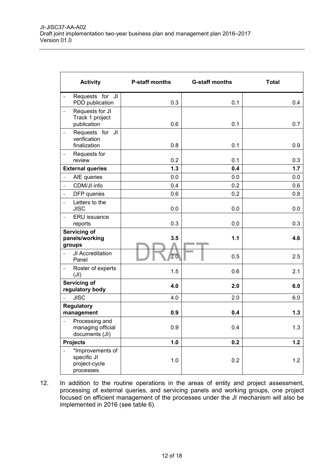| <b>Activity</b>                                                         | <b>P-staff months</b> | <b>G-staff months</b> | <b>Total</b> |
|-------------------------------------------------------------------------|-----------------------|-----------------------|--------------|
| Requests for JI<br>PDD publication                                      | 0.3                   | 0.1                   | 0.4          |
| Requests for JI<br>$\qquad \qquad -$<br>Track 1 project<br>publication  | 0.6                   | 0.1                   | 0.7          |
| Requests for JI<br>$\bar{\phantom{a}}$<br>verification<br>finalization  | 0.8                   | 0.1                   | 0.9          |
| Requests for<br>$\qquad \qquad -$<br>review                             | 0.2                   | 0.1                   | 0.3          |
| <b>External queries</b>                                                 | 1.3                   | 0.4                   | 1.7          |
| AIE queries<br>$\blacksquare$                                           | 0.0                   | 0.0                   | 0.0          |
| CDM/JI info<br>$\qquad \qquad -$                                        | 0.4                   | 0.2                   | 0.6          |
| DFP queries<br>$\qquad \qquad -$                                        | 0.6                   | 0.2                   | 0.8          |
| Letters to the<br>$\overline{\phantom{a}}$<br><b>JISC</b>               | 0.0                   | 0.0                   | 0.0          |
| ERU issuance<br>$\overline{\phantom{0}}$<br>reports                     | 0.3                   | 0.0                   | 0.3          |
| Servicing of<br>panels/working<br>groups                                | 3.5                   | 1.1                   | 4.6          |
| JI Accreditation<br>$\overline{\phantom{0}}$<br>Panel                   | 2.0                   | 0.5                   | 2.5          |
| Roster of experts<br>(JI)                                               | 1.5                   | 0.6                   | 2.1          |
| Servicing of<br>regulatory body                                         | 4.0                   | 2.0                   | 6.0          |
| <b>JISC</b><br>$\equiv$                                                 | 4.0                   | 2.0                   | 6.0          |
| <b>Regulatory</b><br>management                                         | 0.9                   | 0.4                   | 1.3          |
| Processing and<br>$\overline{a}$<br>managing official<br>documents (JI) | 0.9                   | 0.4                   | 1.3          |
| <b>Projects</b>                                                         | 1.0                   | 0.2                   | 1.2          |
| *Improvements of<br>specific JI<br>project-cycle<br>processes           | 1.0                   | 0.2                   | 1.2          |

12. In addition to the routine operations in the areas of entity and project assessment, processing of external queries, and servicing panels and working groups, one project focused on efficient management of the processes under the JI mechanism will also be implemented in 2016 (see table 6).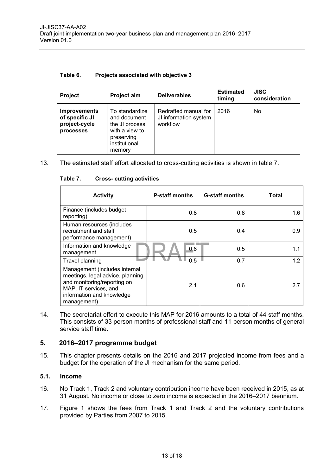| Table 6. |  | Projects associated with objective 3 |
|----------|--|--------------------------------------|
|          |  |                                      |

| <b>Project</b>                                                      | Project aim                                                                                                 | <b>Deliverables</b>                                       | <b>Estimated</b><br>timing | <b>JISC</b><br>consideration |
|---------------------------------------------------------------------|-------------------------------------------------------------------------------------------------------------|-----------------------------------------------------------|----------------------------|------------------------------|
| <b>Improvements</b><br>of specific JI<br>project-cycle<br>processes | To standardize<br>and document<br>the JI process<br>with a view to<br>preserving<br>institutional<br>memory | Redrafted manual for<br>JI information system<br>workflow | 2016                       | No.                          |

13. The estimated staff effort allocated to cross-cutting activities is shown in table 7.

| <b>Activity</b>                                                                                                                                                       | <b>P-staff months</b> | <b>G-staff months</b> | Total |
|-----------------------------------------------------------------------------------------------------------------------------------------------------------------------|-----------------------|-----------------------|-------|
| Finance (includes budget<br>reporting)                                                                                                                                | 0.8                   | 0.8                   | 1.6   |
| Human resources (includes<br>recruitment and staff<br>performance management)                                                                                         | 0.5                   | 0.4                   | 0.9   |
| Information and knowledge<br>management                                                                                                                               | 0.6                   | 0.5                   | 1.1   |
| Travel planning                                                                                                                                                       | 0.5                   | 0.7                   | 1.2   |
| Management (includes internal<br>meetings, legal advice, planning<br>and monitoring/reporting on<br>MAP, IT services, and<br>information and knowledge<br>management) | 2.1                   | 0.6                   | 2.7   |

#### **Table 7. Cross- cutting activities**

14. The secretariat effort to execute this MAP for 2016 amounts to a total of 44 staff months. This consists of 33 person months of professional staff and 11 person months of general service staff time.

#### **5. 2016–2017 programme budget**

15. This chapter presents details on the 2016 and 2017 projected income from fees and a budget for the operation of the JI mechanism for the same period.

#### **5.1. Income**

- 16. No Track 1, Track 2 and voluntary contribution income have been received in 2015, as at 31 August. No income or close to zero income is expected in the 2016–2017 biennium.
- 17. Figure 1 shows the fees from Track 1 and Track 2 and the voluntary contributions provided by Parties from 2007 to 2015.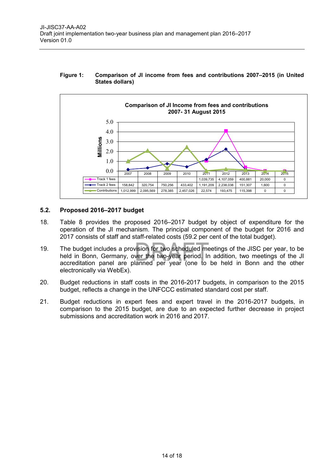#### **Figure 1: Comparison of JI income from fees and contributions 2007–2015 (in United States dollars)**



#### **5.2. Proposed 2016–2017 budget**

- 18. Table 8 provides the proposed 2016–2017 budget by object of expenditure for the operation of the JI mechanism. The principal component of the budget for 2016 and 2017 consists of staff and staff-related costs (59.2 per cent of the total budget).
- 19. The budget includes a provision for two scheduled meetings of the JISC per year, to be held in Bonn, Germany, over the two-year period. In addition, two meetings of the JI accreditation panel are planned per year (one to be held in Bonn and the other electronically via WebEx).
- 20. Budget reductions in staff costs in the 2016-2017 budgets, in comparison to the 2015 budget, reflects a change in the UNFCCC estimated standard cost per staff.
- 21. Budget reductions in expert fees and expert travel in the 2016-2017 budgets, in comparison to the 2015 budget, are due to an expected further decrease in project submissions and accreditation work in 2016 and 2017.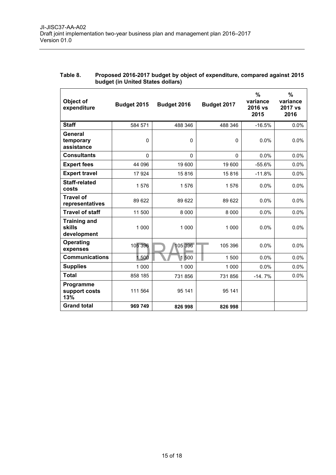| Object of<br>expenditure                            | Budget 2015 | Budget 2016 | Budget 2017  | $\frac{0}{0}$<br>variance<br>2016 vs<br>2015 | $\%$<br>variance<br>2017 vs<br>2016 |
|-----------------------------------------------------|-------------|-------------|--------------|----------------------------------------------|-------------------------------------|
| <b>Staff</b>                                        | 584 571     | 488 346     | 488 346      | $-16.5%$                                     | 0.0%                                |
| <b>General</b><br>temporary<br>assistance           | $\mathbf 0$ | $\Omega$    | $\mathbf{0}$ | 0.0%                                         | 0.0%                                |
| <b>Consultants</b>                                  | $\Omega$    | $\Omega$    | 0            | 0.0%                                         | 0.0%                                |
| <b>Expert fees</b>                                  | 44 096      | 19 600      | 19 600       | $-55.6%$                                     | 0.0%                                |
| <b>Expert travel</b>                                | 17924       | 15816       | 15816        | $-11.8%$                                     | 0.0%                                |
| <b>Staff-related</b><br>costs                       | 1576        | 1576        | 1576         | 0.0%                                         | 0.0%                                |
| <b>Travel of</b><br>representatives                 | 89 622      | 89 622      | 89 622       | 0.0%                                         | 0.0%                                |
| <b>Travel of staff</b>                              | 11 500      | 8 0 0 0     | 8 0 0 0      | 0.0%                                         | 0.0%                                |
| <b>Training and</b><br><b>skills</b><br>development | 1 000       | 1 000       | 1 0 0 0      | 0.0%                                         | 0.0%                                |
| <b>Operating</b><br>expenses                        | 105 396     | 105 396     | 105 396      | 0.0%                                         | 0.0%                                |
| <b>Communications</b>                               | 1500        | 1500        | 1 500        | 0.0%                                         | 0.0%                                |
| <b>Supplies</b>                                     | 1 0 0 0     | 1 0 0 0     | 1 0 0 0      | 0.0%                                         | 0.0%                                |
| <b>Total</b>                                        | 858 185     | 731 856     | 731 856      | $-14.7%$                                     | 0.0%                                |
| Programme<br>support costs<br>13%                   | 111 564     | 95 141      | 95 141       |                                              |                                     |
| <b>Grand total</b>                                  | 969 749     | 826 998     | 826 998      |                                              |                                     |

#### **Table 8. Proposed 2016-2017 budget by object of expenditure, compared against 2015 budget (in United States dollars)**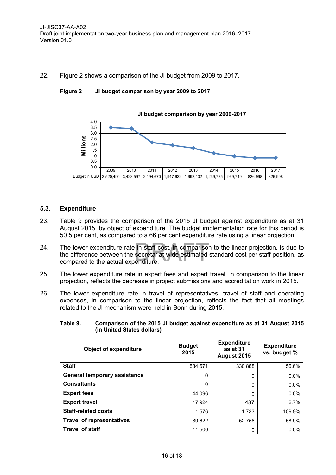#### 22. Figure 2 shows a comparison of the JI budget from 2009 to 2017.



**Figure 2 JI budget comparison by year 2009 to 2017**

#### **5.3. Expenditure**

- 23. Table 9 provides the comparison of the 2015 JI budget against expenditure as at 31 August 2015, by object of expenditure. The budget implementation rate for this period is 50.5 per cent, as compared to a 66 per cent expenditure rate using a linear projection.
- 24. The lower expenditure rate in staff cost, in comparison to the linear projection, is due to the difference between the secretariat-wide estimated standard cost per staff position, as compared to the actual expenditure.
- 25. The lower expenditure rate in expert fees and expert travel, in comparison to the linear projection, reflects the decrease in project submissions and accreditation work in 2015.
- 26. The lower expenditure rate in travel of representatives, travel of staff and operating expenses, in comparison to the linear projection, reflects the fact that all meetings related to the JI mechanism were held in Bonn during 2015.

| <b>Object of expenditure</b>        | <b>Budget</b><br>2015 | <b>Expenditure</b><br>as at 31<br>August 2015 | <b>Expenditure</b><br>vs. budget % |
|-------------------------------------|-----------------------|-----------------------------------------------|------------------------------------|
| <b>Staff</b>                        | 584 571               | 330 888                                       | 56.6%                              |
| <b>General temporary assistance</b> | $\Omega$              | 0                                             | $0.0\%$                            |
| <b>Consultants</b>                  | 0                     | 0                                             | $0.0\%$                            |
| <b>Expert fees</b>                  | 44 096                | 0                                             | $0.0\%$                            |
| <b>Expert travel</b>                | 17 924                | 487                                           | 2.7%                               |
| <b>Staff-related costs</b>          | 1576                  | 1 7 3 3                                       | 109.9%                             |
| <b>Travel of representatives</b>    | 89 622                | 52 756                                        | 58.9%                              |
| <b>Travel of staff</b>              | 11 500                | 0                                             | 0.0%                               |

**Table 9. Comparison of the 2015 JI budget against expenditure as at 31 August 2015 (in United States dollars)**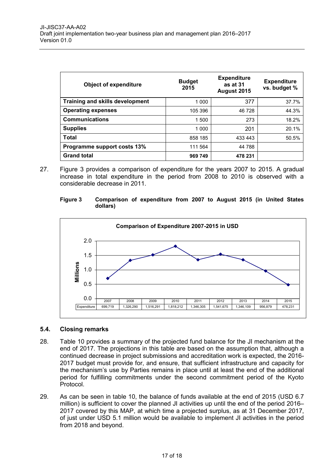| <b>Object of expenditure</b>           | <b>Budget</b><br>2015 | <b>Expenditure</b><br>as at 31<br>August 2015 | <b>Expenditure</b><br>vs. budget % |
|----------------------------------------|-----------------------|-----------------------------------------------|------------------------------------|
| <b>Training and skills development</b> | 1 0 0 0               | 377                                           | 37.7%                              |
| <b>Operating expenses</b>              | 105 396               | 46 728                                        | 44.3%                              |
| <b>Communications</b>                  | 1 500                 | 273                                           | 18.2%                              |
| <b>Supplies</b>                        | 1 000                 | 201                                           | 20.1%                              |
| <b>Total</b>                           | 858 185               | 433 443                                       | 50.5%                              |
| Programme support costs 13%            | 111 564               | 44 788                                        |                                    |
| <b>Grand total</b>                     | 969 749               | 478 231                                       |                                    |

27. Figure 3 provides a comparison of expenditure for the years 2007 to 2015. A gradual increase in total expenditure in the period from 2008 to 2010 is observed with a considerable decrease in 2011.





#### **5.4. Closing remarks**

- 28. Table 10 provides a summary of the projected fund balance for the JI mechanism at the end of 2017. The projections in this table are based on the assumption that, although a continued decrease in project submissions and accreditation work is expected, the 2016- 2017 budget must provide for, and ensure, that sufficient infrastructure and capacity for the mechanism's use by Parties remains in place until at least the end of the additional period for fulfilling commitments under the second commitment period of the Kyoto Protocol.
- 29. As can be seen in table 10, the balance of funds available at the end of 2015 (USD 6.7 million) is sufficient to cover the planned JI activities up until the end of the period 2016– 2017 covered by this MAP, at which time a projected surplus, as at 31 December 2017, of just under USD 5.1 million would be available to implement JI activities in the period from 2018 and beyond.